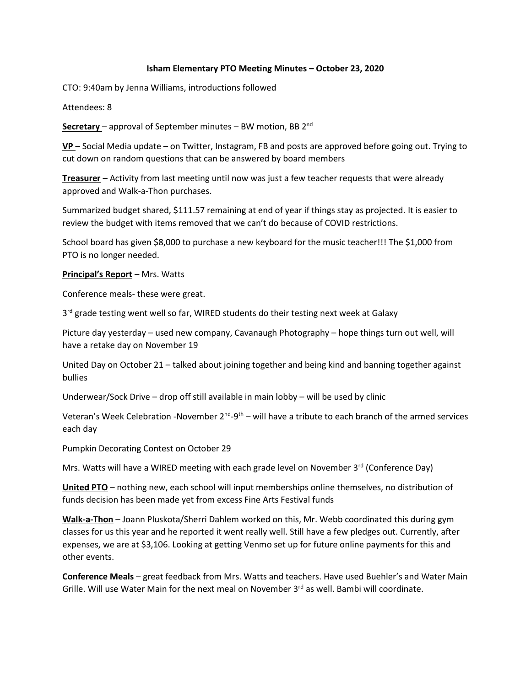## **Isham Elementary PTO Meeting Minutes – October 23, 2020**

CTO: 9:40am by Jenna Williams, introductions followed

Attendees: 8

Secretary - approval of September minutes - BW motion, BB 2<sup>nd</sup>

**VP** – Social Media update – on Twitter, Instagram, FB and posts are approved before going out. Trying to cut down on random questions that can be answered by board members

**Treasurer** – Activity from last meeting until now was just a few teacher requests that were already approved and Walk-a-Thon purchases.

Summarized budget shared, \$111.57 remaining at end of year if things stay as projected. It is easier to review the budget with items removed that we can't do because of COVID restrictions.

School board has given \$8,000 to purchase a new keyboard for the music teacher!!! The \$1,000 from PTO is no longer needed.

**Principal's Report** – Mrs. Watts

Conference meals- these were great.

3<sup>rd</sup> grade testing went well so far, WIRED students do their testing next week at Galaxy

Picture day yesterday – used new company, Cavanaugh Photography – hope things turn out well, will have a retake day on November 19

United Day on October 21 – talked about joining together and being kind and banning together against bullies

Underwear/Sock Drive – drop off still available in main lobby – will be used by clinic

Veteran's Week Celebration -November 2<sup>nd</sup>-9<sup>th</sup> – will have a tribute to each branch of the armed services each day

Pumpkin Decorating Contest on October 29

Mrs. Watts will have a WIRED meeting with each grade level on November  $3<sup>rd</sup>$  (Conference Day)

**United PTO** – nothing new, each school will input memberships online themselves, no distribution of funds decision has been made yet from excess Fine Arts Festival funds

**Walk-a-Thon** – Joann Pluskota/Sherri Dahlem worked on this, Mr. Webb coordinated this during gym classes for us this year and he reported it went really well. Still have a few pledges out. Currently, after expenses, we are at \$3,106. Looking at getting Venmo set up for future online payments for this and other events.

**Conference Meals** – great feedback from Mrs. Watts and teachers. Have used Buehler's and Water Main Grille. Will use Water Main for the next meal on November 3rd as well. Bambi will coordinate.